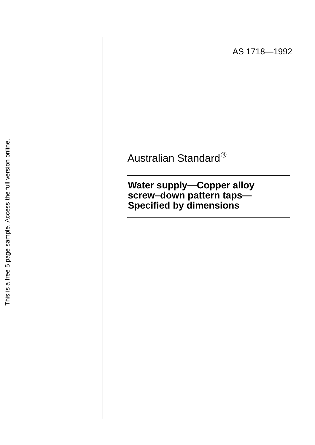AS 1718—1992

Australian Standard  $\circledR$ 

**Water supply—Copper alloy screw–down pattern taps— Specified by dimensions**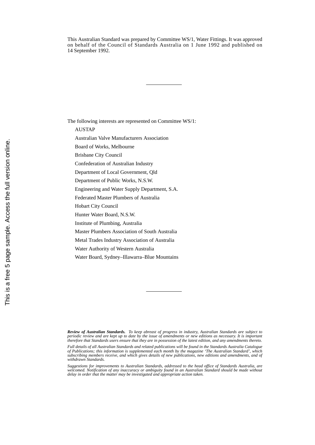This Australian Standard was prepared by Committee WS/1, Water Fittings. It was approved on behalf of the Council of Standards Australia on 1 June 1992 and published on 14 September 1992.

The following interests are represented on Committee WS/1:

AUSTAP

Australian Valve Manufacturers Association

Board of Works, Melbourne

Brisbane City Council

Confederation of Australian Industry

Department of Local Government, Qld

Department of Public Works, N.S.W.

Engineering and Water Supply Department, S.A.

Federated Master Plumbers of Australia

Hobart City Council

Hunter Water Board, N.S.W.

Institute of Plumbing, Australia

Master Plumbers Association of South Australia

Metal Trades Industry Association of Australia

Water Authority of Western Australia

Water Board, Sydney–Illawarra–Blue Mountains

*Review of Australian Standards. To keep abreast of progress in industry, Australian Standards are subject to periodic review and are kept up to date by the issue of amendments or new editions as necessary. It is important therefore that Standards users ensure that they are in possession of the latest edition, and any amendments thereto.*

*Full details of all Australian Standards and related publications will be found in the Standards Australia Catalogue of Publications; this information is supplemented each month by the magazine 'The Australian Standard', which subscribing members receive, and which gives details of new publications, new editions and amendments, and of withdrawn Standards.*

*Suggestions for improvements to Australian Standards, addressed to the head office of Standards Australia, are welcomed. Notification of any inaccuracy or ambiguity found in an Australian Standard should be made without delay in order that the matter may be investigated and appropriate action taken.*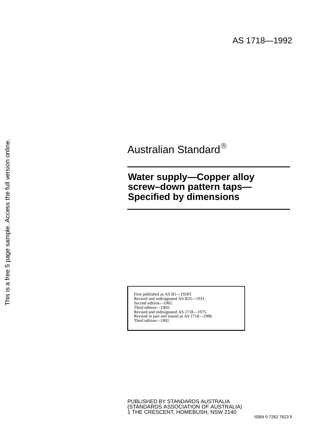# Australian Standard

## **Water supply—Copper alloy screw–down pattern taps— Specified by dimensions**

First published as AS B1—1928T. Revised and redesignated AS B35—1931. Second edition—1965. Third edition—1969. Revised and redesignated AS 1718—1975. Revised in part and issued as AS 1718—1988. Third edition—1992.

PUBLISHED BY STANDARDS AUSTRALIA (STANDARDS ASSOCIATION OF AUSTRALIA) 1 THE CRESCENT, HOMEBUSH, NSW 2140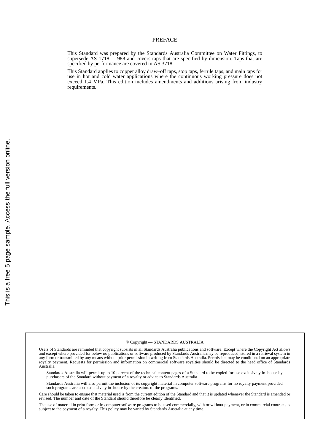#### PREFACE

This Standard was prepared by the Standards Australia Committee on Water Fittings, to supersede AS 1718—1988 and covers taps that are specified by dimension. Taps that are specified by performance are covered in AS 3718.

This Standard applies to copper alloy draw–off taps, stop taps, ferrule taps, and main taps for use in hot and cold water applications where the continuous working pressure does not exceed 1.4 MPa. This edition includes amendments and additions arising from industry requirements.

#### Copyright — STANDARDS AUSTRALIA

Users of Standards are reminded that copyright subsists in all Standards Australia publications and software. Except where the Copyright Act allows and except where provided for below no publications or software produced by Standards Australia may be reproduced, stored in a retrieval system in<br>any form or transmitted by any means without prior permission in writing fr Australia.

Standards Australia will permit up to 10 percent of the technical content pages of a Standard to be copied for use exclusively in–house by purchasers of the Standard without payment of a royalty or advice to Standards Australia.

Standards Australia will also permit the inclusion of its copyright material in computer software programs for no royalty payment provided such programs are used exclusively in–house by the creators of the programs.

Care should be taken to ensure that material used is from the current edition of the Standard and that it is updated whenever the Standard is amended or revised. The number and date of the Standard should therefore be clearly identified.

The use of material in print form or in computer software programs to be used commercially, with or without payment, or in commercial contracts is subject to the payment of a royalty. This policy may be varied by Standards Australia at any time.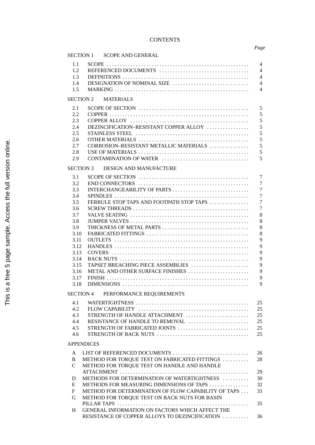## **CONTENTS**

## *Page*

|                                              |                                                     | SECTION 1 SCOPE AND GENERAL                                                                                   |                |
|----------------------------------------------|-----------------------------------------------------|---------------------------------------------------------------------------------------------------------------|----------------|
| 1.1                                          |                                                     |                                                                                                               | $\overline{4}$ |
| 1.2                                          | REFERENCED DOCUMENTS                                |                                                                                                               |                |
| 1.3                                          |                                                     |                                                                                                               |                |
| 1.4                                          | DESIGNATION OF NOMINAL SIZE                         |                                                                                                               | $\overline{4}$ |
| 1.5                                          |                                                     |                                                                                                               | $\overline{4}$ |
|                                              | SECTION 2                                           | <b>MATERIALS</b>                                                                                              |                |
|                                              |                                                     |                                                                                                               |                |
| 2.1                                          |                                                     |                                                                                                               | 5              |
| 2.2                                          |                                                     |                                                                                                               | 5              |
| 2.3                                          |                                                     |                                                                                                               | 5              |
| 2.4                                          |                                                     | DEZINCIFICATION-RESISTANT COPPER ALLOY                                                                        | 5              |
| 2.5                                          |                                                     |                                                                                                               | 5<br>5         |
| 2.6                                          |                                                     |                                                                                                               |                |
| 2.7                                          |                                                     | CORROSION-RESISTANT METALLIC MATERIALS                                                                        | 5<br>5         |
| 2.8<br>2.9                                   |                                                     |                                                                                                               | 5              |
|                                              |                                                     |                                                                                                               |                |
| SECTION 3 DESIGN AND MANUFACTURE             |                                                     |                                                                                                               |                |
| 3.1                                          |                                                     |                                                                                                               | $\overline{7}$ |
| 3.2                                          |                                                     | $END$ CONNECTORS $\ldots \ldots \ldots \ldots \ldots \ldots \ldots \ldots \ldots \ldots \ldots \ldots \ldots$ | $\overline{7}$ |
| 3.3                                          |                                                     | INTERCHANGEABILITY OF PARTS                                                                                   | 7              |
| 3.4                                          |                                                     |                                                                                                               | $\overline{7}$ |
| 3.5                                          |                                                     | FERRULE STOP TAPS AND FOOTPATH STOP TAPS                                                                      | $\overline{7}$ |
| 3.6                                          |                                                     | $SCREW$ THREADS $\ldots \ldots \ldots \ldots \ldots \ldots \ldots \ldots \ldots \ldots \ldots \ldots \ldots$  | $\overline{7}$ |
| 3.7                                          |                                                     |                                                                                                               | 8              |
| 3.8                                          |                                                     |                                                                                                               | 8              |
| 3.9                                          |                                                     |                                                                                                               | 8              |
| 3.10                                         |                                                     |                                                                                                               | 8              |
| 3.11                                         |                                                     |                                                                                                               | 9              |
| 3.12                                         |                                                     |                                                                                                               | 9<br>9         |
| 3.13                                         |                                                     |                                                                                                               | 9              |
| 3.14<br>3.15                                 |                                                     | TAPSET BREACHING PIECE ASSEMBLIES                                                                             | 9              |
| 3.16                                         |                                                     | METAL AND OTHER SURFACE FINISHES                                                                              | 9              |
| 3.17                                         |                                                     |                                                                                                               | 9              |
| 3.18                                         |                                                     |                                                                                                               | 9              |
| <b>SECTION 4</b><br>PERFORMANCE REQUIREMENTS |                                                     |                                                                                                               |                |
|                                              |                                                     |                                                                                                               |                |
| 4.1                                          |                                                     |                                                                                                               | 25             |
| 4.2                                          |                                                     | STRENGTH OF HANDLE ATTACHMENT                                                                                 | 25<br>25       |
| 4.3<br>4.4                                   |                                                     | RESISTANCE OF HANDLE TO REMOVAL                                                                               | 25             |
| 4.5                                          |                                                     | STRENGTH OF FABRICATED JOINTS                                                                                 | 25             |
| 4.6                                          |                                                     |                                                                                                               | 25             |
|                                              |                                                     |                                                                                                               |                |
|                                              | <b>APPENDICES</b>                                   |                                                                                                               |                |
| A                                            |                                                     | LIST OF REFERENCED DOCUMENTS                                                                                  | 26             |
| B                                            |                                                     | METHOD FOR TORQUE TEST ON FABRICATED FITTINGS                                                                 | 28             |
| C                                            |                                                     | METHOD FOR TORQUE TEST ON HANDLE AND HANDLE                                                                   |                |
|                                              |                                                     | METHODS FOR DETERMINATION OF WATERTIGHTNESS                                                                   | 29<br>30       |
| D                                            | METHODS FOR MEASURING DIMENSIONS OF TAPS            |                                                                                                               | 32             |
| E<br>F                                       | METHOD FOR DETERMINATION OF FLOW CAPABILITY OF TAPS |                                                                                                               | 33             |
| G                                            |                                                     | METHOD FOR TORQUE TEST ON BACK NUTS FOR BASIN                                                                 |                |
|                                              | 35                                                  |                                                                                                               |                |
| H                                            |                                                     | GENERAL INFORMATION ON FACTORS WHICH AFFECT THE                                                               |                |
|                                              |                                                     | RESISTANCE OF COPPER ALLOYS TO DEZINCIFICATION                                                                | 36             |